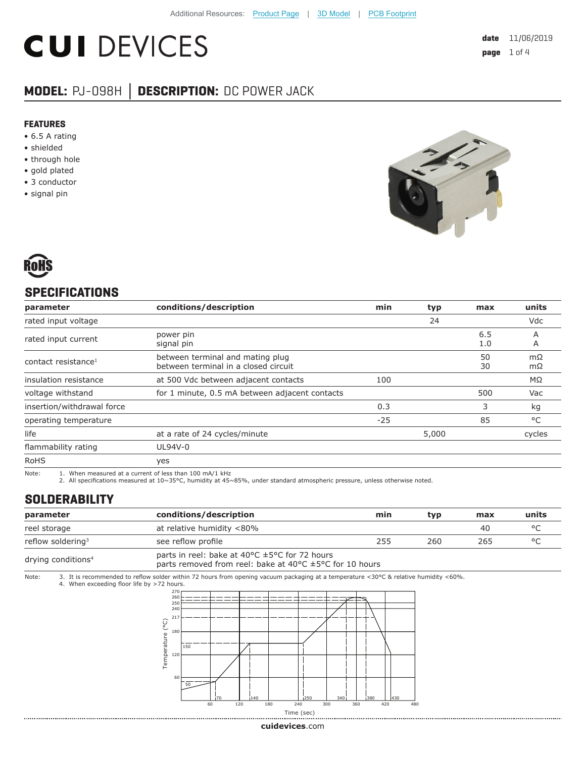# **CUI DEVICES**

## **MODEL:** PJ-098H **│ DESCRIPTION:** DC POWER JACK

#### **FEATURES**

- 6.5 A rating
- shielded
- through hole
- gold plated
- 3 conductor
- signal pin





### **SPECIFICATIONS**

| parameter                                                                                       | conditions/description                                                   | min   | typ   | max        | units    |
|-------------------------------------------------------------------------------------------------|--------------------------------------------------------------------------|-------|-------|------------|----------|
| rated input voltage                                                                             |                                                                          |       | 24    |            | Vdc      |
| rated input current                                                                             | power pin<br>signal pin                                                  |       |       | 6.5<br>1.0 | A<br>A   |
| contact resistance <sup>1</sup>                                                                 | between terminal and mating plug<br>between terminal in a closed circuit |       |       | 50<br>30   | mΩ<br>mΩ |
| insulation resistance                                                                           | at 500 Vdc between adjacent contacts                                     | 100   |       |            | MΩ       |
| voltage withstand                                                                               | for 1 minute, 0.5 mA between adjacent contacts                           |       |       | 500        | Vac      |
| insertion/withdrawal force                                                                      |                                                                          | 0.3   |       | 3          | kg       |
| operating temperature                                                                           |                                                                          | $-25$ |       | 85         | °C       |
| life                                                                                            | at a rate of 24 cycles/minute                                            |       | 5,000 |            | cycles   |
| flammability rating                                                                             | UL94V-0                                                                  |       |       |            |          |
| <b>RoHS</b>                                                                                     | yes                                                                      |       |       |            |          |
| $N = 1$ $N = 1$ $N = 1$ $N = 1$ $N = 1$ $N = 1$ $N = 1$ $N = 1$ $N = 1$ $N = 1$ $N = 1$ $N = 1$ |                                                                          |       |       |            |          |

Note: 1. When measured at a current of less than 100 mA/1 kHz 2. All specifications measured at 10~35°C, humidity at 45~85%, under standard atmospheric pressure, unless otherwise noted.

#### **SOLDERABILITY**

| parameter                                                                                                                                                                                    |                                                                                                                                                                                    | conditions/description    | min | typ | max | units |
|----------------------------------------------------------------------------------------------------------------------------------------------------------------------------------------------|------------------------------------------------------------------------------------------------------------------------------------------------------------------------------------|---------------------------|-----|-----|-----|-------|
| reel storage                                                                                                                                                                                 |                                                                                                                                                                                    | at relative humidity <80% |     |     | 40  | °C    |
|                                                                                                                                                                                              | reflow soldering <sup>3</sup>                                                                                                                                                      | see reflow profile        | 255 | 260 | 265 | °C    |
| parts in reel: bake at 40 $\degree$ C $\pm$ 5 $\degree$ C for 72 hours<br>drying conditions <sup>4</sup><br>parts removed from reel: bake at 40 $\degree$ C $\pm$ 5 $\degree$ C for 10 hours |                                                                                                                                                                                    |                           |     |     |     |       |
| Note:                                                                                                                                                                                        | 3. It is recommended to reflow solder within 72 hours from opening vacuum packaging at a temperature <30°C & relative humidity <60%.<br>4. When exceeding floor life by >72 hours. |                           |     |     |     |       |



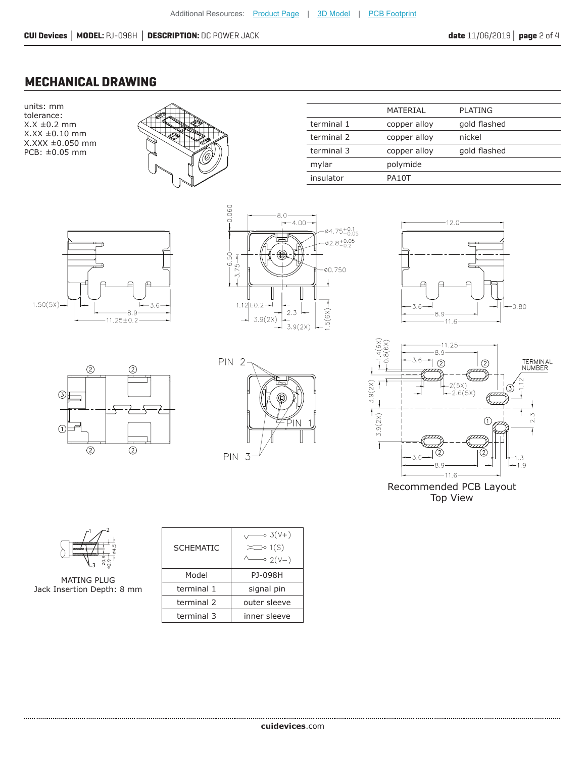#### **MECHANICAL DRAWING**

units: mm tolerance:  $X.X \pm 0.2$  mm X.XX ±0.10 mm X.XXX ±0.050 mm PCB: ±0.05 mm



|            | MATERIAL     | <b>PLATING</b> |
|------------|--------------|----------------|
| terminal 1 | copper alloy | gold flashed   |
| terminal 2 | copper alloy | nickel         |
| terminal 3 | copper alloy | gold flashed   |
| mylar      | polymide     |                |
| insulator  | PA10T        |                |
|            |              |                |















MATING PLUG Jack Insertion Depth: 8 mm

| <b>SCHEMATIC</b> | ⊸ 3(V+)<br>$\sum$ 1(S)<br>$\sim$ 2(V-) |
|------------------|----------------------------------------|
| Model            | PJ-098H                                |
| terminal 1       | signal pin                             |
| terminal 2       | outer sleeve                           |
| terminal 3       | inner sleeve                           |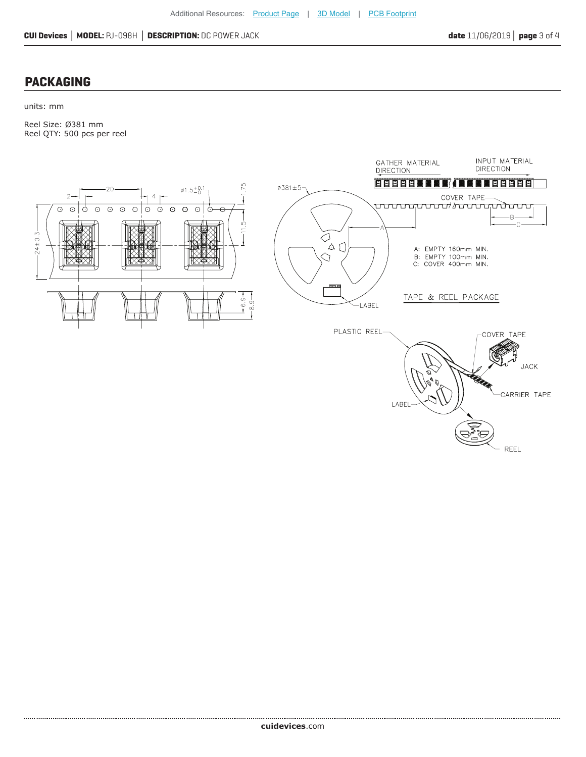#### **PACKAGING**

units: mm

Reel Size: Ø381 mm Reel QTY: 500 pcs per reel